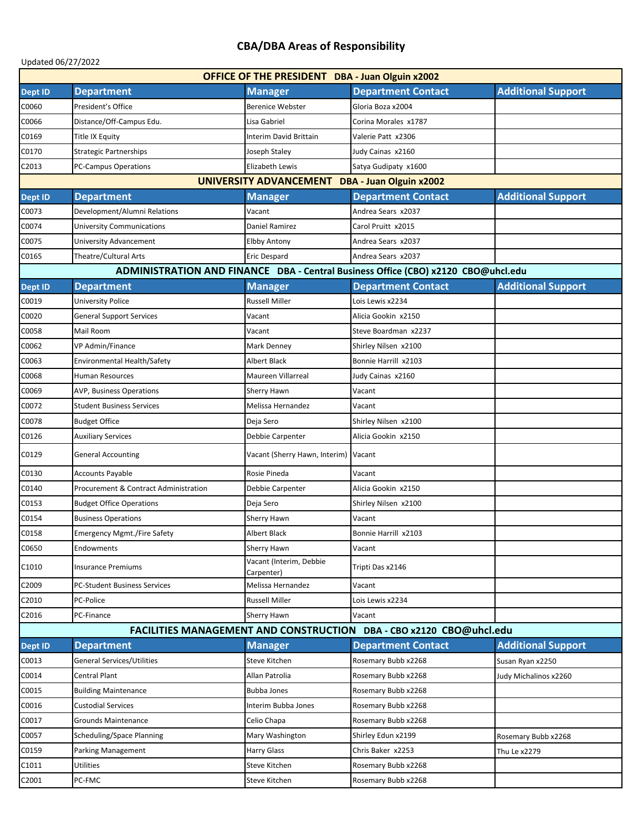## **CBA/DBA Areas of Responsibility**

| Updated 06/27/2022                                                  |                                                  |                                       |                                                                                   |                           |  |  |
|---------------------------------------------------------------------|--------------------------------------------------|---------------------------------------|-----------------------------------------------------------------------------------|---------------------------|--|--|
| <b>OFFICE OF THE PRESIDENT DBA - Juan Olguin x2002</b>              |                                                  |                                       |                                                                                   |                           |  |  |
| Dept ID                                                             | <b>Department</b>                                | <b>Manager</b>                        | <b>Department Contact</b>                                                         | <b>Additional Support</b> |  |  |
| C0060                                                               | President's Office                               | <b>Berenice Webster</b>               | Gloria Boza x2004                                                                 |                           |  |  |
| C0066                                                               | Distance/Off-Campus Edu.                         | Lisa Gabriel                          | Corina Morales x1787                                                              |                           |  |  |
| C0169                                                               | Title IX Equity                                  | Interim David Brittain                | Valerie Patt x2306                                                                |                           |  |  |
| C0170                                                               | <b>Strategic Partnerships</b>                    | Joseph Staley                         | Judy Cainas x2160                                                                 |                           |  |  |
| C2013                                                               | <b>PC-Campus Operations</b>                      | Elizabeth Lewis                       | Satya Gudipaty x1600                                                              |                           |  |  |
| UNIVERSITY ADVANCEMENT<br>DBA - Juan Olguin x2002                   |                                                  |                                       |                                                                                   |                           |  |  |
| Dept ID                                                             | <b>Department</b>                                | <b>Manager</b>                        | <b>Department Contact</b>                                                         | <b>Additional Support</b> |  |  |
| C0073                                                               | Development/Alumni Relations                     | Vacant                                | Andrea Sears x2037                                                                |                           |  |  |
| C0074                                                               | University Communications                        | Daniel Ramirez                        | Carol Pruitt x2015                                                                |                           |  |  |
| C0075                                                               | University Advancement                           | Elbby Antony                          | Andrea Sears x2037                                                                |                           |  |  |
| C0165                                                               | Theatre/Cultural Arts                            | Eric Despard                          | Andrea Sears x2037                                                                |                           |  |  |
|                                                                     |                                                  |                                       | ADMINISTRATION AND FINANCE DBA - Central Business Office (CBO) x2120 CBO@uhcl.edu |                           |  |  |
| Dept ID                                                             | <b>Department</b>                                | <b>Manager</b>                        | <b>Department Contact</b>                                                         | <b>Additional Support</b> |  |  |
| C0019                                                               | <b>University Police</b>                         | <b>Russell Miller</b>                 | Lois Lewis x2234                                                                  |                           |  |  |
| C0020                                                               | <b>General Support Services</b>                  | Vacant                                | Alicia Gookin x2150                                                               |                           |  |  |
| C0058                                                               | Mail Room                                        | Vacant                                | Steve Boardman x2237                                                              |                           |  |  |
| C0062                                                               | VP Admin/Finance                                 | Mark Denney                           | Shirley Nilsen x2100                                                              |                           |  |  |
| C0063                                                               | Environmental Health/Safety                      | <b>Albert Black</b>                   | Bonnie Harrill x2103                                                              |                           |  |  |
| C0068                                                               | <b>Human Resources</b>                           | Maureen Villarreal                    | Judy Cainas x2160                                                                 |                           |  |  |
| C0069                                                               | <b>AVP, Business Operations</b>                  | Sherry Hawn                           | Vacant                                                                            |                           |  |  |
| C0072                                                               | <b>Student Business Services</b>                 | Melissa Hernandez                     | Vacant                                                                            |                           |  |  |
| C0078                                                               | <b>Budget Office</b>                             | Deja Sero                             | Shirley Nilsen x2100                                                              |                           |  |  |
| C0126                                                               | <b>Auxiliary Services</b>                        | Debbie Carpenter                      | Alicia Gookin x2150                                                               |                           |  |  |
| C0129                                                               | <b>General Accounting</b>                        | Vacant (Sherry Hawn, Interim)         | Vacant                                                                            |                           |  |  |
| C0130                                                               | <b>Accounts Payable</b>                          | Rosie Pineda                          | Vacant                                                                            |                           |  |  |
| C0140                                                               | <b>Procurement &amp; Contract Administration</b> | Debbie Carpenter                      | Alicia Gookin x2150                                                               |                           |  |  |
| C0153                                                               | <b>Budget Office Operations</b>                  | Deja Sero                             | Shirley Nilsen x2100                                                              |                           |  |  |
| C0154                                                               | <b>Business Operations</b>                       | <b>Sherry Hawn</b>                    | Vacant                                                                            |                           |  |  |
| C0158                                                               | <b>Emergency Mgmt./Fire Safety</b>               | <b>Albert Black</b>                   | Bonnie Harrill x2103                                                              |                           |  |  |
| C0650                                                               | Endowments                                       | Sherry Hawn                           | Vacant                                                                            |                           |  |  |
| C1010                                                               | <b>Insurance Premiums</b>                        | Vacant (Interim, Debbie<br>Carpenter) | Tripti Das x2146                                                                  |                           |  |  |
| C2009                                                               | PC-Student Business Services                     | Melissa Hernandez                     | Vacant                                                                            |                           |  |  |
| C2010                                                               | PC-Police                                        | <b>Russell Miller</b>                 | Lois Lewis x2234                                                                  |                           |  |  |
| C2016                                                               | PC-Finance                                       | Sherry Hawn                           | Vacant                                                                            |                           |  |  |
| FACILITIES MANAGEMENT AND CONSTRUCTION DBA - CBO x2120 CBO@uhcl.edu |                                                  |                                       |                                                                                   |                           |  |  |
| Dept ID                                                             | <b>Department</b>                                | <b>Manager</b>                        | <b>Department Contact</b>                                                         | <b>Additional Support</b> |  |  |
| C0013                                                               | General Services/Utilities                       | Steve Kitchen                         | Rosemary Bubb x2268                                                               | Susan Ryan x2250          |  |  |
| C0014                                                               | Central Plant                                    | Allan Patrolia                        | Rosemary Bubb x2268                                                               | Judy Michalinos x2260     |  |  |
| C0015                                                               | <b>Building Maintenance</b>                      | <b>Bubba Jones</b>                    | Rosemary Bubb x2268                                                               |                           |  |  |
| C0016                                                               | <b>Custodial Services</b>                        | Interim Bubba Jones                   | Rosemary Bubb x2268                                                               |                           |  |  |
| C0017                                                               | <b>Grounds Maintenance</b>                       | Celio Chapa                           | Rosemary Bubb x2268                                                               |                           |  |  |
| C0057                                                               | Scheduling/Space Planning                        | Mary Washington                       | Shirley Edun x2199                                                                | Rosemary Bubb x2268       |  |  |
| C0159                                                               | Parking Management                               | Harry Glass                           | Chris Baker x2253                                                                 | Thu Le x2279              |  |  |
| C1011                                                               | <b>Utilities</b>                                 | Steve Kitchen                         | Rosemary Bubb x2268                                                               |                           |  |  |
| C2001                                                               | PC-FMC                                           | Steve Kitchen                         | Rosemary Bubb x2268                                                               |                           |  |  |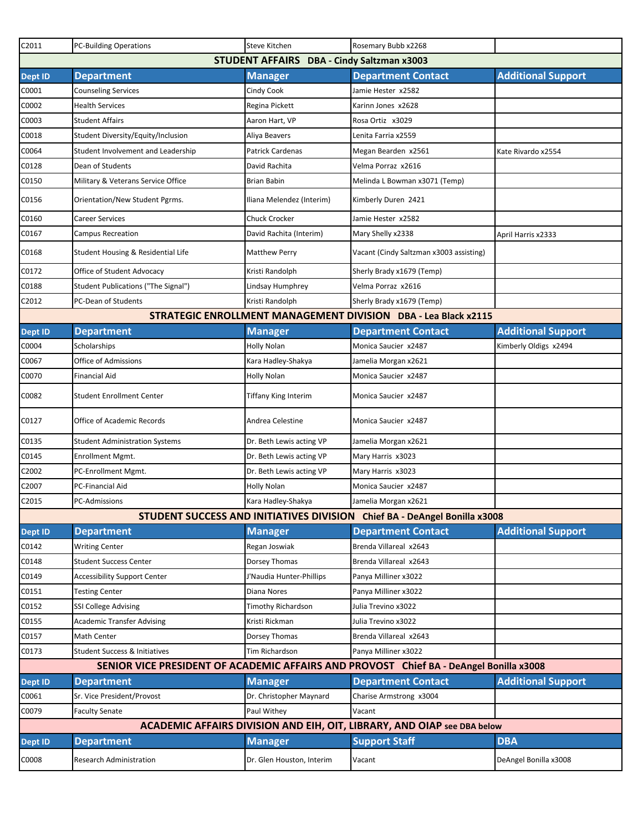| C2011                                                                                  | <b>PC-Building Operations</b>         | Steve Kitchen             | Rosemary Bubb x2268                                                       |                           |
|----------------------------------------------------------------------------------------|---------------------------------------|---------------------------|---------------------------------------------------------------------------|---------------------------|
| <b>STUDENT AFFAIRS</b><br>DBA - Cindy Saltzman x3003                                   |                                       |                           |                                                                           |                           |
| Dept ID                                                                                | <b>Department</b>                     | <b>Manager</b>            | <b>Department Contact</b>                                                 | <b>Additional Support</b> |
| C0001                                                                                  | <b>Counseling Services</b>            | Cindy Cook                | Jamie Hester x2582                                                        |                           |
| C0002                                                                                  | <b>Health Services</b>                | Regina Pickett            | Karinn Jones x2628                                                        |                           |
| C0003                                                                                  | <b>Student Affairs</b>                | Aaron Hart, VP            | Rosa Ortiz x3029                                                          |                           |
| C0018                                                                                  | Student Diversity/Equity/Inclusion    | Aliya Beavers             | Lenita Farria x2559                                                       |                           |
| C0064                                                                                  | Student Involvement and Leadership    | Patrick Cardenas          | Megan Bearden x2561                                                       | Kate Rivardo x2554        |
| C0128                                                                                  | Dean of Students                      | David Rachita             | Velma Porraz x2616                                                        |                           |
| C0150                                                                                  | Military & Veterans Service Office    | Brian Babin               | Melinda L Bowman x3071 (Temp)                                             |                           |
| C0156                                                                                  | Orientation/New Student Pgrms.        | Iliana Melendez (Interim) | Kimberly Duren 2421                                                       |                           |
| C0160                                                                                  | <b>Career Services</b>                | <b>Chuck Crocker</b>      | Jamie Hester x2582                                                        |                           |
| C0167                                                                                  | <b>Campus Recreation</b>              | David Rachita (Interim)   | Mary Shelly x2338                                                         | April Harris x2333        |
| C0168                                                                                  | Student Housing & Residential Life    | <b>Matthew Perry</b>      | Vacant (Cindy Saltzman x3003 assisting)                                   |                           |
| C0172                                                                                  | Office of Student Advocacy            | Kristi Randolph           | Sherly Brady x1679 (Temp)                                                 |                           |
| C0188                                                                                  | Student Publications ("The Signal")   | Lindsay Humphrey          | Velma Porraz x2616                                                        |                           |
| C2012                                                                                  | <b>PC-Dean of Students</b>            | Kristi Randolph           | Sherly Brady x1679 (Temp)                                                 |                           |
|                                                                                        |                                       |                           | STRATEGIC ENROLLMENT MANAGEMENT DIVISION DBA - Lea Black x2115            |                           |
| <b>Dept ID</b>                                                                         | <b>Department</b>                     | <b>Manager</b>            | <b>Department Contact</b>                                                 | <b>Additional Support</b> |
| C0004                                                                                  | Scholarships                          | Holly Nolan               | Monica Saucier x2487                                                      | Kimberly Oldigs x2494     |
| C0067                                                                                  | Office of Admissions                  | Kara Hadley-Shakya        | Jamelia Morgan x2621                                                      |                           |
| C0070                                                                                  | <b>Financial Aid</b>                  | <b>Holly Nolan</b>        | Monica Saucier x2487                                                      |                           |
| C0082                                                                                  | <b>Student Enrollment Center</b>      | Tiffany King Interim      | Monica Saucier x2487                                                      |                           |
| C0127                                                                                  | Office of Academic Records            | Andrea Celestine          | Monica Saucier x2487                                                      |                           |
| C0135                                                                                  | <b>Student Administration Systems</b> | Dr. Beth Lewis acting VP  | Jamelia Morgan x2621                                                      |                           |
| C0145                                                                                  | Enrollment Mgmt.                      | Dr. Beth Lewis acting VP  | Mary Harris x3023                                                         |                           |
| C2002                                                                                  | PC-Enrollment Mgmt.                   | Dr. Beth Lewis acting VP  | Mary Harris x3023                                                         |                           |
| C2007                                                                                  | <b>PC-Financial Aid</b>               | <b>Holly Nolan</b>        | Monica Saucier x2487                                                      |                           |
| C2015                                                                                  | <b>PC-Admissions</b>                  | Kara Hadley-Shakya        | Jamelia Morgan x2621                                                      |                           |
|                                                                                        |                                       |                           | STUDENT SUCCESS AND INITIATIVES DIVISION Chief BA - DeAngel Bonilla x3008 |                           |
| Dept ID                                                                                | <b>Department</b>                     | <b>Manager</b>            | <b>Department Contact</b>                                                 | <b>Additional Support</b> |
| C0142                                                                                  | <b>Writing Center</b>                 | Regan Joswiak             | Brenda Villareal x2643                                                    |                           |
| C0148                                                                                  | <b>Student Success Center</b>         | Dorsey Thomas             | Brenda Villareal x2643                                                    |                           |
| C0149                                                                                  | <b>Accessibility Support Center</b>   | J'Naudia Hunter-Phillips  | Panya Milliner x3022                                                      |                           |
| C0151                                                                                  | <b>Testing Center</b>                 | Diana Nores               | Panya Milliner x3022                                                      |                           |
| C0152                                                                                  | <b>SSI College Advising</b>           | Timothy Richardson        | Julia Trevino x3022                                                       |                           |
| C0155                                                                                  | <b>Academic Transfer Advising</b>     | Kristi Rickman            | Julia Trevino x3022                                                       |                           |
| C0157                                                                                  | <b>Math Center</b>                    | Dorsey Thomas             | Brenda Villareal x2643                                                    |                           |
| C0173                                                                                  | Student Success & Initiatives         | Tim Richardson            | Panya Milliner x3022                                                      |                           |
| SENIOR VICE PRESIDENT OF ACADEMIC AFFAIRS AND PROVOST Chief BA - DeAngel Bonilla x3008 |                                       |                           |                                                                           |                           |
| Dept ID                                                                                | <b>Department</b>                     | <b>Manager</b>            | <b>Department Contact</b>                                                 | <b>Additional Support</b> |
| C0061                                                                                  | Sr. Vice President/Provost            | Dr. Christopher Maynard   | Charise Armstrong x3004                                                   |                           |
| C0079                                                                                  | <b>Faculty Senate</b>                 | Paul Withey               | Vacant                                                                    |                           |
| ACADEMIC AFFAIRS DIVISION AND EIH, OIT, LIBRARY, AND OIAP see DBA below                |                                       |                           |                                                                           |                           |
| <b>Dept ID</b>                                                                         | <b>Department</b>                     | <b>Manager</b>            | <b>Support Staff</b>                                                      | <b>DBA</b>                |
| C0008                                                                                  | Research Administration               | Dr. Glen Houston, Interim | Vacant                                                                    | DeAngel Bonilla x3008     |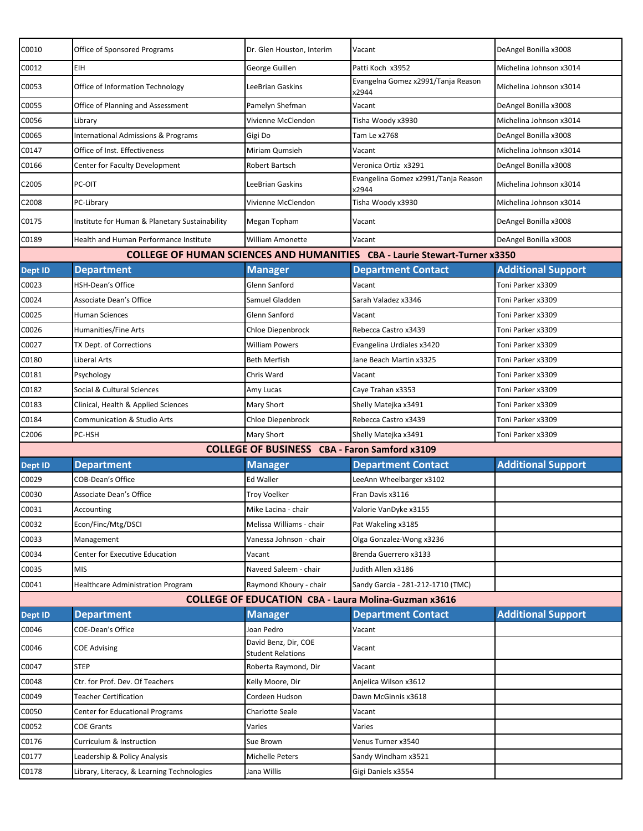| C0010                                                       | Office of Sponsored Programs                   | Dr. Glen Houston, Interim                            | Vacant                                                                            | DeAngel Bonilla x3008     |  |
|-------------------------------------------------------------|------------------------------------------------|------------------------------------------------------|-----------------------------------------------------------------------------------|---------------------------|--|
| C0012                                                       | EIH                                            | George Guillen                                       | Patti Koch x3952                                                                  | Michelina Johnson x3014   |  |
| C0053                                                       | Office of Information Technology               | <b>LeeBrian Gaskins</b>                              | Evangelna Gomez x2991/Tanja Reason<br>x2944                                       | Michelina Johnson x3014   |  |
| C0055                                                       | Office of Planning and Assessment              | Pamelyn Shefman                                      | Vacant                                                                            | DeAngel Bonilla x3008     |  |
| C0056                                                       | Library                                        | Vivienne McClendon                                   | Tisha Woody x3930                                                                 | Michelina Johnson x3014   |  |
| C0065                                                       | International Admissions & Programs            | Gigi Do                                              | Tam Le x2768                                                                      | DeAngel Bonilla x3008     |  |
| C0147                                                       | Office of Inst. Effectiveness                  | Miriam Qumsieh                                       | Vacant                                                                            | Michelina Johnson x3014   |  |
| C0166                                                       | Center for Faculty Development                 | Robert Bartsch                                       | Veronica Ortiz x3291                                                              | DeAngel Bonilla x3008     |  |
| C <sub>2005</sub>                                           | PC-OIT                                         | LeeBrian Gaskins                                     | Evangelina Gomez x2991/Tanja Reason<br>x2944                                      | Michelina Johnson x3014   |  |
| C2008                                                       | PC-Library                                     | Vivienne McClendon                                   | Tisha Woody x3930                                                                 | Michelina Johnson x3014   |  |
| C0175                                                       | Institute for Human & Planetary Sustainability | Megan Topham                                         | Vacant                                                                            | DeAngel Bonilla x3008     |  |
| C0189                                                       | Health and Human Performance Institute         | <b>William Amonette</b>                              | Vacant                                                                            | DeAngel Bonilla x3008     |  |
|                                                             |                                                |                                                      | <b>COLLEGE OF HUMAN SCIENCES AND HUMANITIES CBA - Laurie Stewart-Turner x3350</b> |                           |  |
| <b>Dept ID</b>                                              | <b>Department</b>                              | <b>Manager</b>                                       | <b>Department Contact</b>                                                         | <b>Additional Support</b> |  |
| C0023                                                       | HSH-Dean's Office                              | Glenn Sanford                                        | Vacant                                                                            | Toni Parker x3309         |  |
| C0024                                                       | Associate Dean's Office                        | Samuel Gladden                                       | Sarah Valadez x3346                                                               | Toni Parker x3309         |  |
| C0025                                                       | <b>Human Sciences</b>                          | Glenn Sanford                                        | Vacant                                                                            | Toni Parker x3309         |  |
| C0026                                                       | Humanities/Fine Arts                           | Chloe Diepenbrock                                    | Rebecca Castro x3439                                                              | Toni Parker x3309         |  |
| C0027                                                       | TX Dept. of Corrections                        | <b>William Powers</b>                                | Evangelina Urdiales x3420                                                         | Toni Parker x3309         |  |
| C0180                                                       | Liberal Arts                                   | <b>Beth Merfish</b>                                  | Jane Beach Martin x3325                                                           | Toni Parker x3309         |  |
| C0181                                                       | Psychology                                     | Chris Ward                                           | Vacant                                                                            | Toni Parker x3309         |  |
| C0182                                                       | Social & Cultural Sciences                     | Amy Lucas                                            | Caye Trahan x3353                                                                 | Toni Parker x3309         |  |
| C0183                                                       | Clinical, Health & Applied Sciences            | <b>Mary Short</b>                                    | Shelly Matejka x3491                                                              | Toni Parker x3309         |  |
| C0184                                                       | Communication & Studio Arts                    | Chloe Diepenbrock                                    | Rebecca Castro x3439                                                              | Toni Parker x3309         |  |
| C <sub>2006</sub>                                           | PC-HSH                                         | <b>Mary Short</b>                                    | Shelly Matejka x3491                                                              | Toni Parker x3309         |  |
|                                                             |                                                | <b>COLLEGE OF BUSINESS CBA - Faron Samford x3109</b> |                                                                                   |                           |  |
| <b>Dept ID</b>                                              | <b>Department</b>                              | <b>Manager</b>                                       | <b>Department Contact</b>                                                         | <b>Additional Support</b> |  |
| C0029                                                       | <b>COB-Dean's Office</b>                       | <b>Ed Waller</b>                                     | LeeAnn Wheelbarger x3102                                                          |                           |  |
| C0030                                                       | Associate Dean's Office                        | Troy Voelker                                         | Fran Davis x3116                                                                  |                           |  |
| C0031                                                       | Accounting                                     | Mike Lacina - chair                                  | Valorie VanDyke x3155                                                             |                           |  |
| C0032                                                       | Econ/Finc/Mtg/DSCI                             | Melissa Williams - chair                             | Pat Wakeling x3185                                                                |                           |  |
| C0033                                                       | Management                                     | Vanessa Johnson - chair                              | Olga Gonzalez-Wong x3236                                                          |                           |  |
| C0034                                                       | Center for Executive Education                 | Vacant                                               | Brenda Guerrero x3133                                                             |                           |  |
| C0035                                                       | <b>MIS</b>                                     | Naveed Saleem - chair                                | Judith Allen x3186                                                                |                           |  |
| C0041                                                       | <b>Healthcare Administration Program</b>       | Raymond Khoury - chair                               | Sandy Garcia - 281-212-1710 (TMC)                                                 |                           |  |
| <b>COLLEGE OF EDUCATION CBA - Laura Molina-Guzman x3616</b> |                                                |                                                      |                                                                                   |                           |  |
| Dept ID                                                     | <b>Department</b>                              | <b>Manager</b>                                       | <b>Department Contact</b>                                                         | <b>Additional Support</b> |  |
| C0046                                                       | COE-Dean's Office                              | Joan Pedro<br>David Benz, Dir, COE                   | Vacant                                                                            |                           |  |
| C0046                                                       | <b>COE Advising</b>                            | <b>Student Relations</b>                             | Vacant                                                                            |                           |  |
| C0047                                                       | <b>STEP</b>                                    | Roberta Raymond, Dir                                 | Vacant                                                                            |                           |  |
| C0048                                                       | Ctr. for Prof. Dev. Of Teachers                | Kelly Moore, Dir                                     | Anjelica Wilson x3612                                                             |                           |  |
| C0049                                                       | <b>Teacher Certification</b>                   | Cordeen Hudson                                       | Dawn McGinnis x3618                                                               |                           |  |
| C0050                                                       | Center for Educational Programs                | <b>Charlotte Seale</b>                               | Vacant                                                                            |                           |  |
| C0052                                                       | <b>COE Grants</b>                              | Varies                                               | Varies                                                                            |                           |  |
| C0176                                                       | Curriculum & Instruction                       | Sue Brown                                            | Venus Turner x3540                                                                |                           |  |
| C0177                                                       | Leadership & Policy Analysis                   | Michelle Peters                                      | Sandy Windham x3521                                                               |                           |  |
| C0178                                                       | Library, Literacy, & Learning Technologies     | Jana Willis                                          | Gigi Daniels x3554                                                                |                           |  |